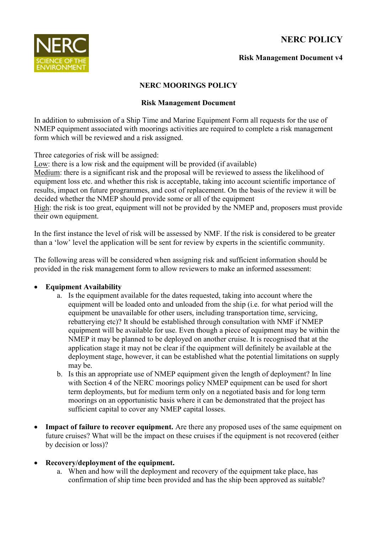# **NERC POLICY**



## **Risk Management Document v4**

## **NERC MOORINGS POLICY**

#### **Risk Management Document**

In addition to submission of a Ship Time and Marine Equipment Form all requests for the use of NMEP equipment associated with moorings activities are required to complete a risk management form which will be reviewed and a risk assigned.

Three categories of risk will be assigned:

Low: there is a low risk and the equipment will be provided (if available) Medium: there is a significant risk and the proposal will be reviewed to assess the likelihood of equipment loss etc. and whether this risk is acceptable, taking into account scientific importance of results, impact on future programmes, and cost of replacement. On the basis of the review it will be decided whether the NMEP should provide some or all of the equipment

High: the risk is too great, equipment will not be provided by the NMEP and, proposers must provide their own equipment.

In the first instance the level of risk will be assessed by NMF. If the risk is considered to be greater than a 'low' level the application will be sent for review by experts in the scientific community.

The following areas will be considered when assigning risk and sufficient information should be provided in the risk management form to allow reviewers to make an informed assessment:

# **Equipment Availability**

- a. Is the equipment available for the dates requested, taking into account where the equipment will be loaded onto and unloaded from the ship (i.e. for what period will the equipment be unavailable for other users, including transportation time, servicing, rebatterying etc)? It should be established through consultation with NMF if NMEP equipment will be available for use. Even though a piece of equipment may be within the NMEP it may be planned to be deployed on another cruise. It is recognised that at the application stage it may not be clear if the equipment will definitely be available at the deployment stage, however, it can be established what the potential limitations on supply may be.
- b. Is this an appropriate use of NMEP equipment given the length of deployment? In line with Section 4 of the NERC moorings policy NMEP equipment can be used for short term deployments, but for medium term only on a negotiated basis and for long term moorings on an opportunistic basis where it can be demonstrated that the project has sufficient capital to cover any NMEP capital losses.
- Impact of failure to recover equipment. Are there any proposed uses of the same equipment on future cruises? What will be the impact on these cruises if the equipment is not recovered (either by decision or loss)?

# **Recovery/deployment of the equipment.**

a. When and how will the deployment and recovery of the equipment take place, has confirmation of ship time been provided and has the ship been approved as suitable?